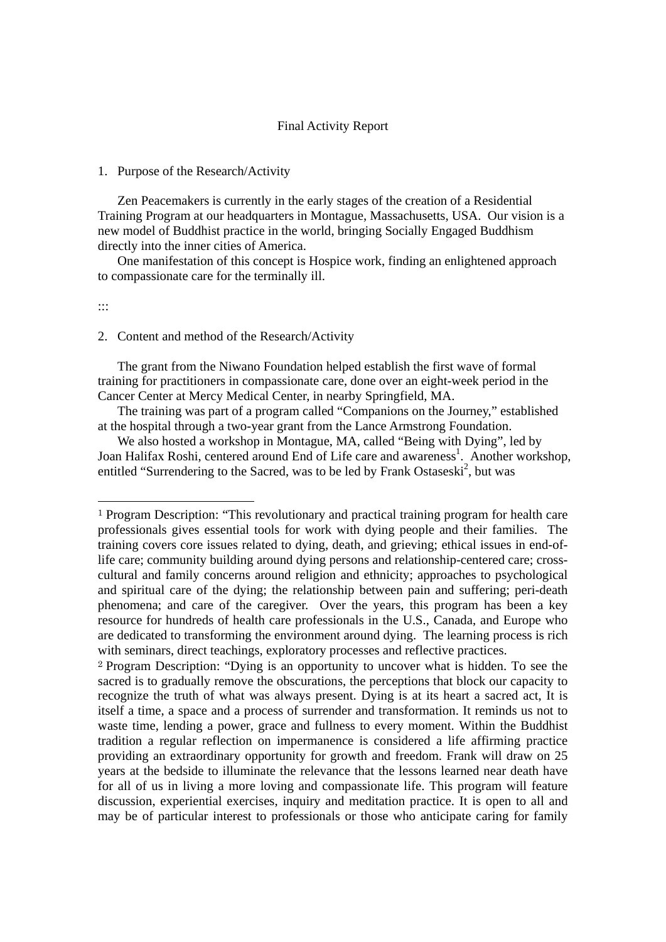### Final Activity Report

## 1. Purpose of the Research/Activity

Zen Peacemakers is currently in the early stages of the creation of a Residential Training Program at our headquarters in Montague, Massachusetts, USA. Our vision is a new model of Buddhist practice in the world, bringing Socially Engaged Buddhism directly into the inner cities of America.

One manifestation of this concept is Hospice work, finding an enlightened approach to compassionate care for the terminally ill.

#### :::

l

# 2. Content and method of the Research/Activity

The grant from the Niwano Foundation helped establish the first wave of formal training for practitioners in compassionate care, done over an eight-week period in the Cancer Center at Mercy Medical Center, in nearby Springfield, MA.

The training was part of a program called "Companions on the Journey," established at the hospital through a two-year grant from the Lance Armstrong Foundation.

We also hosted a workshop in Montague, MA, called "Being with Dying", led by Joan Halifax Roshi, centered around End of Life care and awareness<sup>1</sup>. Another workshop, entitled "Surrendering to the Sacred, was to be led by Frank Ostaseski<sup>2</sup>, but was

<sup>1</sup> Program Description: "This revolutionary and practical training program for health care professionals gives essential tools for work with dying people and their families. The training covers core issues related to dying, death, and grieving; ethical issues in end-oflife care; community building around dying persons and relationship-centered care; crosscultural and family concerns around religion and ethnicity; approaches to psychological and spiritual care of the dying; the relationship between pain and suffering; peri-death phenomena; and care of the caregiver. Over the years, this program has been a key resource for hundreds of health care professionals in the U.S., Canada, and Europe who are dedicated to transforming the environment around dying. The learning process is rich with seminars, direct teachings, exploratory processes and reflective practices.

<sup>2</sup> Program Description: "Dying is an opportunity to uncover what is hidden. To see the sacred is to gradually remove the obscurations, the perceptions that block our capacity to recognize the truth of what was always present. Dying is at its heart a sacred act, It is itself a time, a space and a process of surrender and transformation. It reminds us not to waste time, lending a power, grace and fullness to every moment. Within the Buddhist tradition a regular reflection on impermanence is considered a life affirming practice providing an extraordinary opportunity for growth and freedom. Frank will draw on 25 years at the bedside to illuminate the relevance that the lessons learned near death have for all of us in living a more loving and compassionate life. This program will feature discussion, experiential exercises, inquiry and meditation practice. It is open to all and may be of particular interest to professionals or those who anticipate caring for family